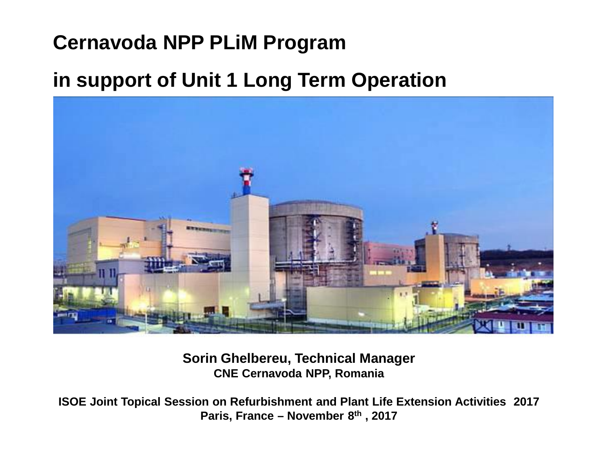## **Cernavoda NPP PLiM Program**

## **in support of Unit 1 Long Term Operation**



**Sorin Ghelbereu, Technical Manager CNE Cernavoda NPP, Romania**

**ISOE Joint Topical Session on Refurbishment and Plant Life Extension Activities 2017 Paris, France – November 8th , 2017**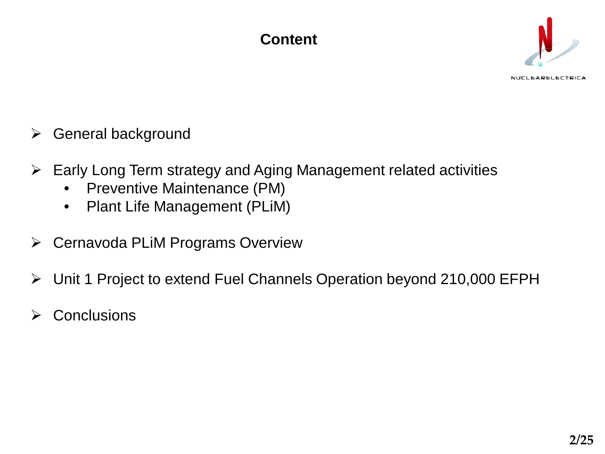## **Content**



NUCLEARELECTRICA

- $\triangleright$  General background
- $\triangleright$  Early Long Term strategy and Aging Management related activities
	- Preventive Maintenance (PM)
	- Plant Life Management (PLiM)
- Cernavoda PLiM Programs Overview
- Unit 1 Project to extend Fuel Channels Operation beyond 210,000 EFPH
- **Conclusions**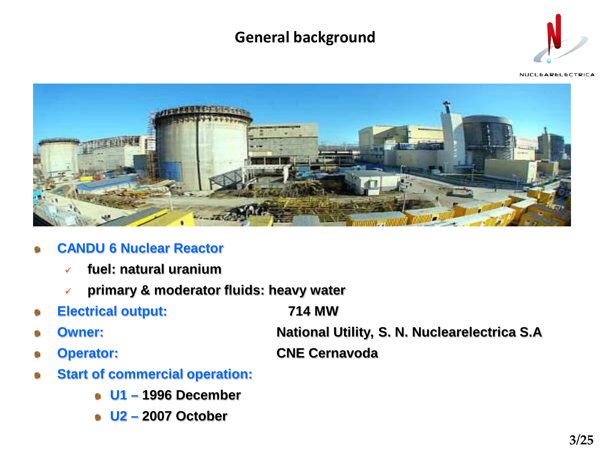## **General background**



NUCLEARELECTRICA



- **CANDU 6 Nuclear Reactor**
	- **fuel: natural uranium**
	- **primary & moderator fluids: heavy water**
- **Electrical output: 714 MW**
	-
- 
- **Owner: National Utility, S. N. Nuclearelectrica S.A Operator: CNE Cernavoda**
- 
- **Start of commercial operation:**
	- **U1 – 1996 December**
	- **U2 – 2007 October**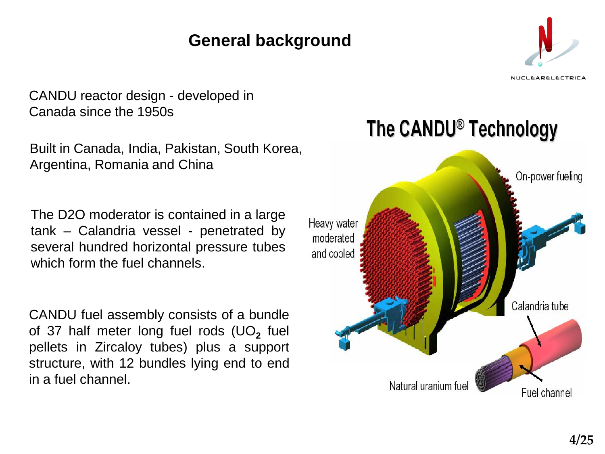## **ofGeneral background**



**NUCLEARELECTRICA** 

CANDU reactor design - developed in Canada since the 1950s

Built in Canada, India, Pakistan, South Korea, Argentina, Romania and China

The D2O moderator is contained in a large tank – Calandria vessel - penetrated by several hundred horizontal pressure tubes which form the fuel channels.

CANDU fuel assembly consists of a bundle of 37 half meter long fuel rods (UO<sub>2</sub> fuel pellets in Zircaloy tubes) plus a support structure, with 12 bundles lying end to end in a fuel channel.



The CANDU<sup>®</sup> Technology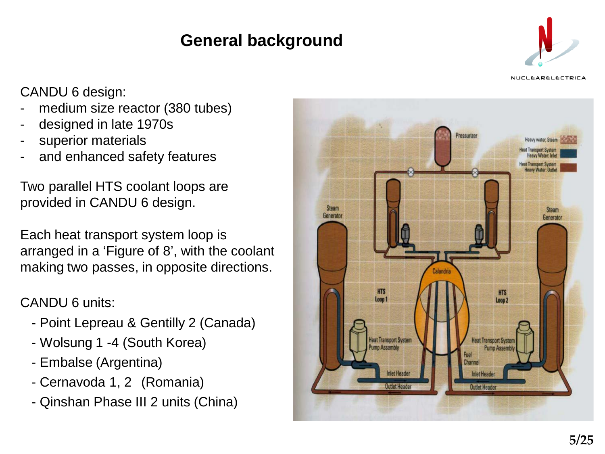## **of General background**



**NUCLEARELECTRICA** 

CANDU 6 design:

- medium size reactor (380 tubes)
- designed in late 1970s
- superior materials
- and enhanced safety features

Two parallel HTS coolant loops are provided in CANDU 6 design.

Each heat transport system loop is arranged in a 'Figure of 8', with the coolant making two passes, in opposite directions.

#### CANDU 6 units:

- Point Lepreau & Gentilly 2 (Canada)
- Wolsung 1 -4 (South Korea)
- Embalse (Argentina)
- Cernavoda 1, 2 (Romania)
- Qinshan Phase III 2 units (China)

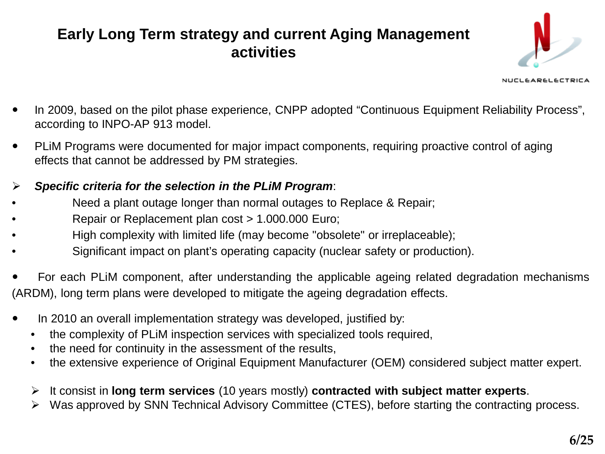## **Early Long Term strategy and current Aging Management activities**



NUCLEARELECTRICA

- In 2009, based on the pilot phase experience, CNPP adopted "Continuous Equipment Reliability Process", according to INPO-AP 913 model.
- PLiM Programs were documented for major impact components, requiring proactive control of aging effects that cannot be addressed by PM strategies.
- *Specific criteria for the selection in the PLiM Program*:
- Need a plant outage longer than normal outages to Replace & Repair;
- Repair or Replacement plan cost > 1.000.000 Euro;
- High complexity with limited life (may become "obsolete" or irreplaceable);
- Significant impact on plant's operating capacity (nuclear safety or production).
- For each PLiM component, after understanding the applicable ageing related degradation mechanisms (ARDM), long term plans were developed to mitigate the ageing degradation effects.
- In 2010 an overall implementation strategy was developed, justified by:
	- the complexity of PLiM inspection services with specialized tools required,
	- the need for continuity in the assessment of the results,
	- the extensive experience of Original Equipment Manufacturer (OEM) considered subject matter expert.
	- It consist in **long term services** (10 years mostly) **contracted with subject matter experts**.
	- Was approved by SNN Technical Advisory Committee (CTES), before starting the contracting process.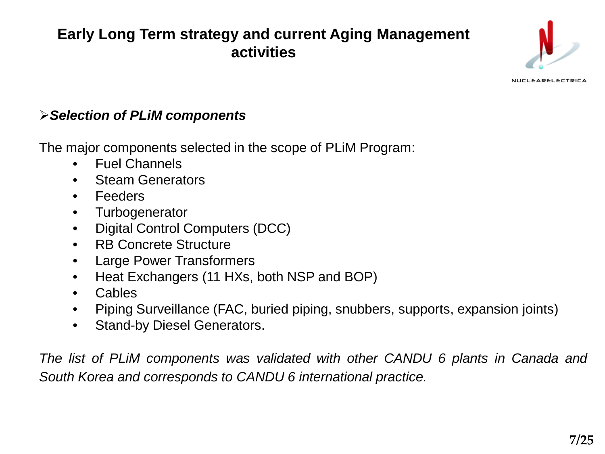## **Early Long Term strategy and current Aging Management activities**



NUCLEARELECTRICA

#### *Selection of PLiM components*

The major components selected in the scope of PLiM Program:

- Fuel Channels
- Steam Generators
- Feeders
- Turbogenerator
- Digital Control Computers (DCC)
- RB Concrete Structure
- Large Power Transformers
- Heat Exchangers (11 HXs, both NSP and BOP)
- Cables
- Piping Surveillance (FAC, buried piping, snubbers, supports, expansion joints)
- Stand-by Diesel Generators.

*The list of PLiM components was validated with other CANDU 6 plants in Canada and South Korea and corresponds to CANDU 6 international practice.*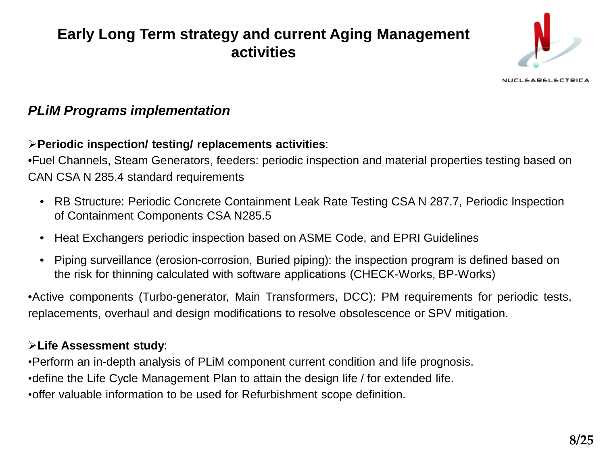## **Early Long Term strategy and current Aging Management activities**



**NUCLEARELECTRICA** 

#### *PLiM Programs implementation*

#### **Periodic inspection/ testing/ replacements activities**:

•Fuel Channels, Steam Generators, feeders: periodic inspection and material properties testing based on CAN CSA N 285.4 standard requirements

- RB Structure: Periodic Concrete Containment Leak Rate Testing CSA N 287.7, Periodic Inspection of Containment Components CSA N285.5
- Heat Exchangers periodic inspection based on ASME Code, and EPRI Guidelines
- Piping surveillance (erosion-corrosion, Buried piping): the inspection program is defined based on the risk for thinning calculated with software applications (CHECK-Works, BP-Works)

•Active components (Turbo-generator, Main Transformers, DCC): PM requirements for periodic tests, replacements, overhaul and design modifications to resolve obsolescence or SPV mitigation.

#### **Life Assessment study**:

•Perform an in-depth analysis of PLiM component current condition and life prognosis.

•define the Life Cycle Management Plan to attain the design life / for extended life.

•offer valuable information to be used for Refurbishment scope definition.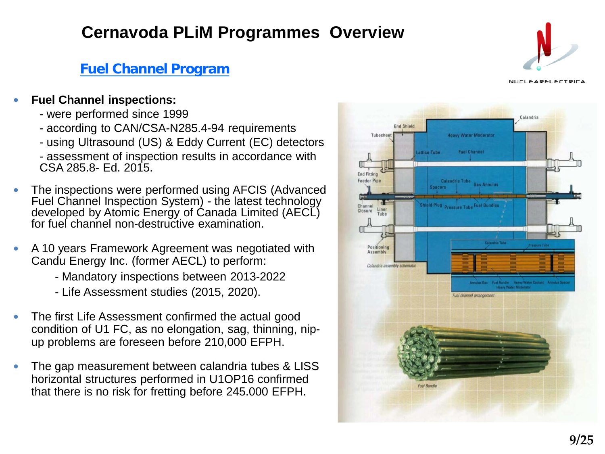#### **Fuel Channel Program**

#### **Fuel Channel inspections:**

- were performed since 1999
- according to CAN/CSA-N285.4-94 requirements
- using Ultrasound (US) & Eddy Current (EC) detectors
- assessment of inspection results in accordance with CSA 285.8- Ed. 2015.
- The inspections were performed using AFCIS (Advanced Fuel Channel Inspection System) - the latest technology developed by Atomic Energy of Canada Limited (AECL) for fuel channel non-destructive examination.
- A 10 years Framework Agreement was negotiated with Candu Energy Inc. (former AECL) to perform:
	- Mandatory inspections between 2013-2022
	- Life Assessment studies (2015, 2020).
- The first Life Assessment confirmed the actual good condition of U1 FC, as no elongation, sag, thinning, nipup problems are foreseen before 210,000 EFPH.
- The gap measurement between calandria tubes & LISS horizontal structures performed in U1OP16 confirmed that there is no risk for fretting before 245.000 EFPH.



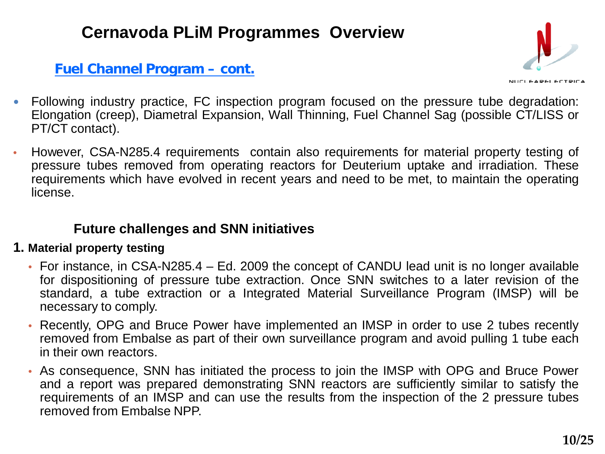#### **Fuel Channel Program – cont.**



- Following industry practice, FC inspection program focused on the pressure tube degradation: Elongation (creep), Diametral Expansion, Wall Thinning, Fuel Channel Sag (possible CT/LISS or PT/CT contact).
- However, CSA-N285.4 requirements contain also requirements for material property testing of pressure tubes removed from operating reactors for Deuterium uptake and irradiation. These requirements which have evolved in recent years and need to be met, to maintain the operating license.

#### **Future challenges and SNN initiatives**

#### **1. Material property testing**

- For instance, in CSA-N285.4 Ed. 2009 the concept of CANDU lead unit is no longer available for dispositioning of pressure tube extraction. Once SNN switches to a later revision of the standard, a tube extraction or a Integrated Material Surveillance Program (IMSP) will be necessary to comply.
- Recently, OPG and Bruce Power have implemented an IMSP in order to use 2 tubes recently removed from Embalse as part of their own surveillance program and avoid pulling 1 tube each in their own reactors.
- As consequence, SNN has initiated the process to join the IMSP with OPG and Bruce Power and a report was prepared demonstrating SNN reactors are sufficiently similar to satisfy the requirements of an IMSP and can use the results from the inspection of the 2 pressure tubes removed from Embalse NPP.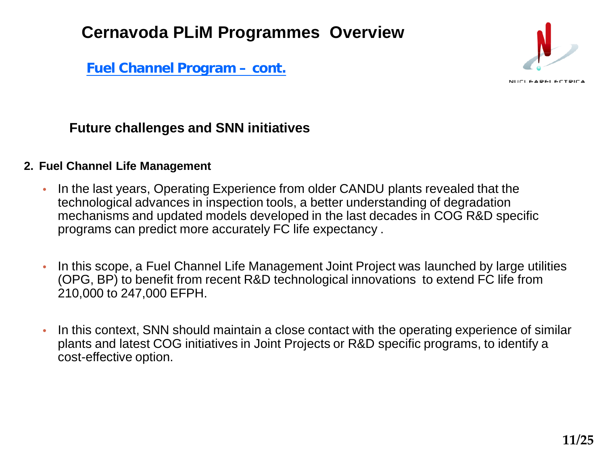**Fuel Channel Program – cont.**



#### **Future challenges and SNN initiatives**

#### **2. Fuel Channel Life Management**

- In the last years, Operating Experience from older CANDU plants revealed that the technological advances in inspection tools, a better understanding of degradation mechanisms and updated models developed in the last decades in COG R&D specific programs can predict more accurately FC life expectancy .
- In this scope, a Fuel Channel Life Management Joint Project was launched by large utilities (OPG, BP) to benefit from recent R&D technological innovations to extend FC life from 210,000 to 247,000 EFPH.
- In this context, SNN should maintain a close contact with the operating experience of similar plants and latest COG initiatives in Joint Projects or R&D specific programs, to identify a cost-effective option.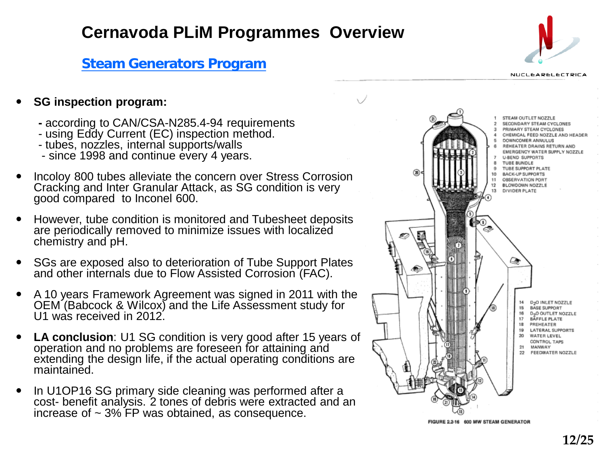#### **Steam Generators Program**



#### **NUCLEARELECTRICA**

#### **SG inspection program:**

- **-** according to CAN/CSA-N285.4-94 requirements using Eddy Current (EC) inspection method. tubes, nozzles, internal supports/walls since <sup>1998</sup> and continue every <sup>4</sup> years.
- 
- 
- 
- Incoloy 800 tubes alleviate the concern over Stress Corrosion Cracking and Inter Granular Attack, as SG condition is very good compared to Inconel 600.
- However, tube condition is monitored and Tubesheet deposits are periodically removed to minimize issues with localized chemistry and pH.
- SGs are exposed also to deterioration of Tube Support Plates and other internals due to Flow Assisted Corrosion (FAC).
- A 10 years Framework Agreement was signed in 2011 with the OEM (Babcock & Wilcox) and the Life Assessment study for U1 was received in 2012.
- **LA conclusion**: U1 SG condition is very good after 15 years of operation and no problems are foreseen for attaining and extending the design life, if the actual operating conditions are maintained.
- In U1OP16 SG primary side cleaning was performed after a cost- benefit analysis. 2 tones of debris were extracted and an increase of  $\sim$  3% FP was obtained, as consequence.

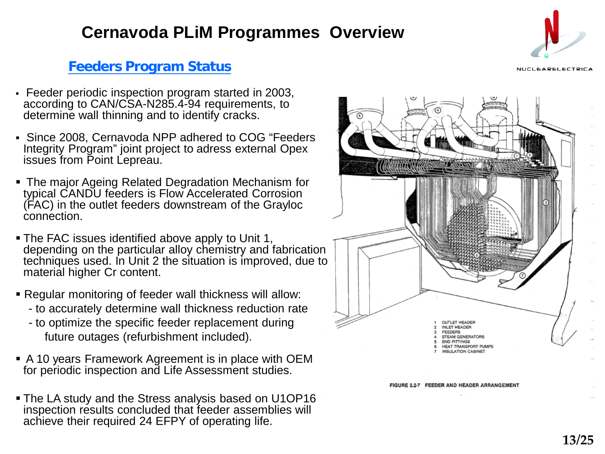#### **Feeders Program Status**

- Feeder periodic inspection program started in 2003, according to CAN/CSA-N285.4-94 requirements, to determine wall thinning and to identify cracks.
- Since 2008, Cernavoda NPP adhered to COG "Feeders Integrity Program" joint project to adress external Opex issues from Point Lepreau.
- The major Ageing Related Degradation Mechanism for typical CANDU feeders is Flow Accelerated Corrosion (FAC) in the outlet feeders downstream of the Grayloc connection.
- **The FAC issues identified above apply to Unit 1,** depending on the particular alloy chemistry and fabrication techniques used. In Unit 2 the situation is improved, due to material higher Cr content.
- Regular monitoring of feeder wall thickness will allow:
	- to accurately determine wall thickness reduction rate
	- to optimize the specific feeder replacement during future outages (refurbishment included).
- A 10 years Framework Agreement is in place with OEM for periodic inspection and Life Assessment studies.
- **The LA study and the Stress analysis based on U1OP16** inspection results concluded that feeder assemblies will achieve their required 24 EFPY of operating life.





FIGURE 2.2-7 FEEDER AND HEADER ARRANGEMENT



NUCLEARELECTRICA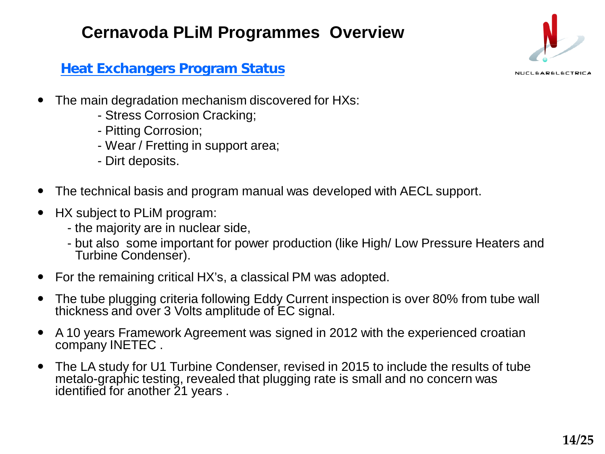

NUCLEARELECTRICA

**Heat Exchangers Program Status**

- The main degradation mechanism discovered for HXs:
	- Stress Corrosion Cracking;
	- Pitting Corrosion;
	- Wear / Fretting in support area;
	- Dirt deposits.
- The technical basis and program manual was developed with AECL support.
- HX subject to PLiM program:
	- the majority are in nuclear side,
	- but also some important for power production (like High/ Low Pressure Heaters and Turbine Condenser).
- For the remaining critical HX's, a classical PM was adopted.
- The tube plugging criteria following Eddy Current inspection is over 80% from tube wall thickness and over 3 Volts amplitude of EC signal.
- A 10 years Framework Agreement was signed in 2012 with the experienced croatian company INETEC .
- The LA study for U1 Turbine Condenser, revised in 2015 to include the results of tube metalo-graphic testing, revealed that plugging rate is small and no concern was identified for another 21 years.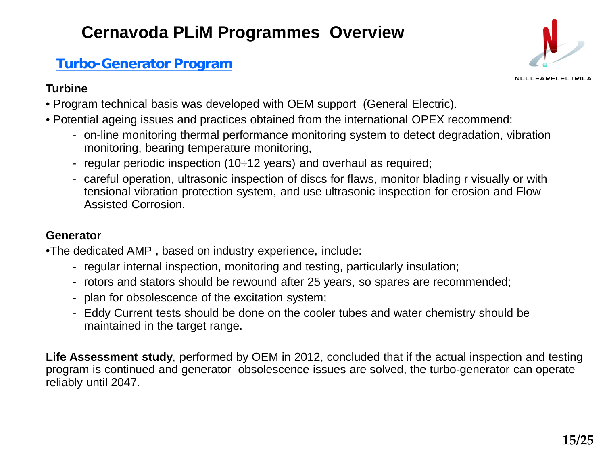## **Turbo-Generator Program**

#### **Turbine**



- Program technical basis was developed with OEM support (General Electric).
- Potential ageing issues and practices obtained from the international OPEX recommend:
	- on-line monitoring thermal performance monitoring system to detect degradation, vibration monitoring, bearing temperature monitoring,
	- regular periodic inspection (10÷12 years) and overhaul as required;
	- careful operation, ultrasonic inspection of discs for flaws, monitor blading r visually or with tensional vibration protection system, and use ultrasonic inspection for erosion and Flow Assisted Corrosion.

#### **Generator**

•The dedicated AMP , based on industry experience, include:

- regular internal inspection, monitoring and testing, particularly insulation;
- rotors and stators should be rewound after 25 years, so spares are recommended;
- plan for obsolescence of the excitation system;
- Eddy Current tests should be done on the cooler tubes and water chemistry should be maintained in the target range.

**Life Assessment study**, performed by OEM in 2012, concluded that if the actual inspection and testing program is continued and generator obsolescence issues are solved, the turbo-generator can operate reliably until 2047.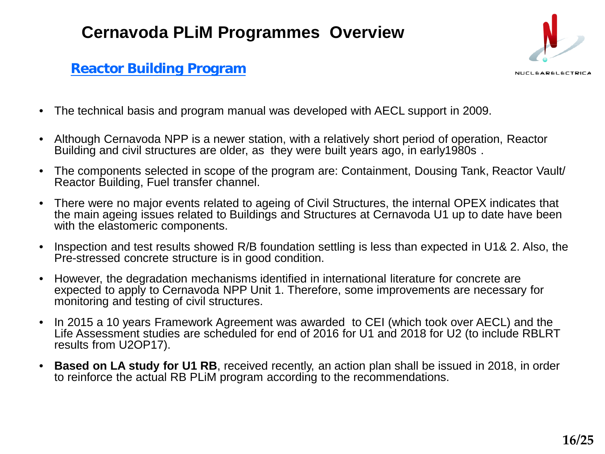# NUCLEARELECTRICA

#### **Reactor Building Program**

- The technical basis and program manual was developed with AECL support in 2009.
- Although Cernavoda NPP is a newer station, with a relatively short period of operation, Reactor Building and civil structures are older, as they were built years ago, in early1980s .
- The components selected in scope of the program are: Containment, Dousing Tank, Reactor Vault/ Reactor Building, Fuel transfer channel.
- There were no major events related to ageing of Civil Structures, the internal OPEX indicates that the main ageing issues related to Buildings and Structures at Cernavoda U1 up to date have been with the elastomeric components.
- Inspection and test results showed R/B foundation settling is less than expected in U1& 2. Also, the Pre-stressed concrete structure is in good condition.
- However, the degradation mechanisms identified in international literature for concrete are expected to apply to Cernavoda NPP Unit 1. Therefore, some improvements are necessary for monitoring and testing of civil structures.
- In 2015 a 10 years Framework Agreement was awarded to CEI (which took over AECL) and the Life Assessment studies are scheduled for end of 2016 for U1 and 2018 for U2 (to include RBLRT results from U2OP17).
- **Based on LA study for U1 RB**, received recently, an action plan shall be issued in 2018, in order to reinforce the actual RB PLiM program according to the recommendations.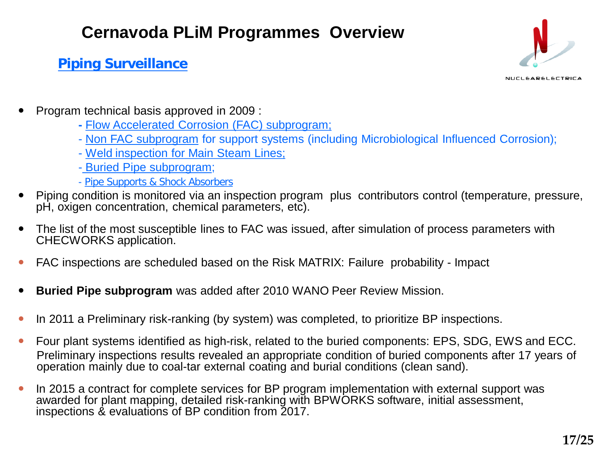#### **Piping Surveillance**

NUCLEARELECTRICA

- Program technical basis approved in 2009 :
	- **-** Flow Accelerated Corrosion (FAC) subprogram;
	- Non FAC subprogram for support systems (including Microbiological Influenced Corrosion);
	- Weld inspection for Main Steam Lines;
	- Buried Pipe subprogram;
	- Pipe Supports & Shock Absorbers
- Piping condition is monitored via an inspection program plus contributors control (temperature, pressure, pH, oxigen concentration, chemical parameters, etc).
- The list of the most susceptible lines to FAC was issued, after simulation of process parameters with CHECWORKS application.
- FAC inspections are scheduled based on the Risk MATRIX: Failure probability Impact
- **Buried Pipe subprogram** was added after 2010 WANO Peer Review Mission.
- In 2011 a Preliminary risk-ranking (by system) was completed, to prioritize BP inspections.
- Four plant systems identified as high-risk, related to the buried components: EPS, SDG, EWS and ECC. Preliminary inspections results revealed an appropriate condition of buried components after 17 years of operation mainly due to coal-tar external coating and burial conditions (clean sand).
- In 2015 a contract for complete services for BP program implementation with external support was awarded for plant mapping, detailed risk-ranking with BPWORKS software, initial assessment, inspections & evaluations of BP condition from 2017.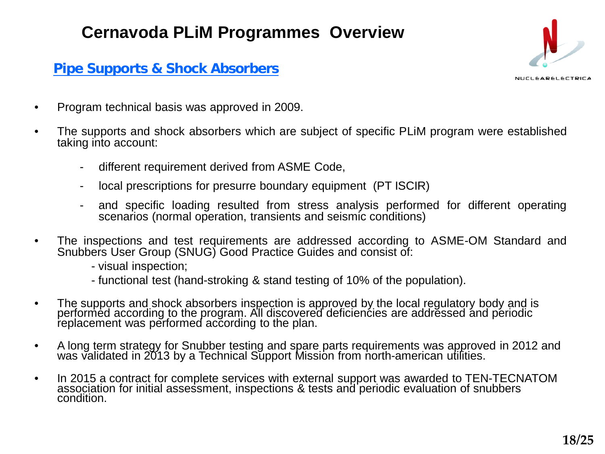#### **Pipe Supports & Shock Absorbers**



- Program technical basis was approved in 2009.
- The supports and shock absorbers which are subject of specific PLiM program were established taking into account:
	- different requirement derived from ASME Code,
	- local prescriptions for presurre boundary equipment (PT ISCIR)
	- and specific loading resulted from stress analysis performed for different operating scenarios (normal operation, transients and seismic conditions)
- The inspections and test requirements are addressed according to ASME-OM Standard and Snubbers User Group (SNUG) Good Practice Guides and consist of:
	- visual inspection;
	- functional test (hand-stroking & stand testing of 10% of the population).
- The supports and shock absorbers inspection is approved by the local regulatory body and is performed according to the program. All discovered deficiencies are addressed and periodic replacement was performed according to the plan.
- A long term strategy for Snubber testing and spare parts requirements was approved in 2012 and was validated in 2013 by a Technical Support Mission from north-american utilities.
- In 2015 a contract for complete services with external support was awarded to TEN-TECNATOM association for initial assessment, inspections & tests and periodic evaluation of snubbers condition.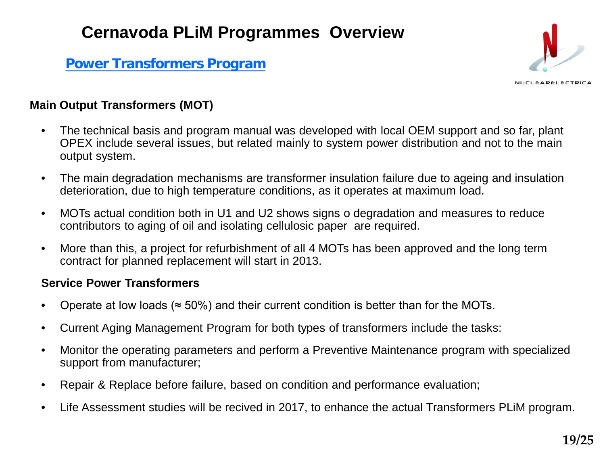**Power Transformers Program**



#### **Main Output Transformers (MOT)**

- The technical basis and program manual was developed with local OEM support and so far, plant OPEX include several issues, but related mainly to system power distribution and not to the main output system.
- The main degradation mechanisms are transformer insulation failure due to ageing and insulation deterioration, due to high temperature conditions, as it operates at maximum load.
- MOTs actual condition both in U1 and U2 shows signs o degradation and measures to reduce contributors to aging of oil and isolating cellulosic paper are required.
- More than this, a project for refurbishment of all 4 MOTs has been approved and the long term contract for planned replacement will start in 2013.

#### **Service Power Transformers**

- Operate at low loads ( $\approx$  50%) and their current condition is better than for the MOTs.
- Current Aging Management Program for both types of transformers include the tasks:
- Monitor the operating parameters and perform a Preventive Maintenance program with specialized support from manufacturer;
- Repair & Replace before failure, based on condition and performance evaluation;
- Life Assessment studies will be recived in 2017, to enhance the actual Transformers PLIM program.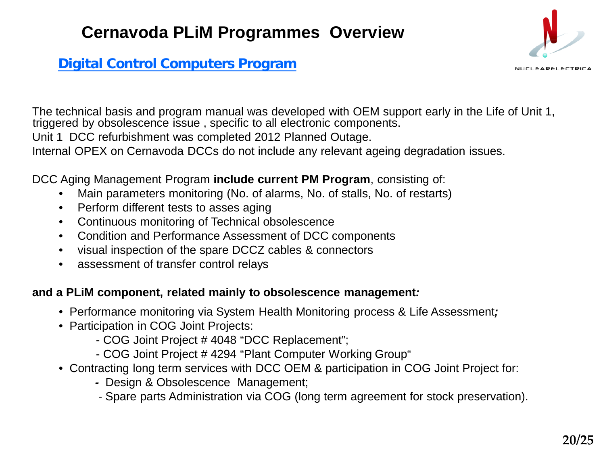#### **Digital Control Computers Program**

The technical basis and program manual was developed with OEM support early in the Life of Unit 1, triggered by obsolescence issue , specific to all electronic components.

Unit 1 DCC refurbishment was completed 2012 Planned Outage.

Internal OPEX on Cernavoda DCCs do not include any relevant ageing degradation issues.

#### DCC Aging Management Program **include current PM Program**, consisting of:

- Main parameters monitoring (No. of alarms, No. of stalls, No. of restarts)
- Perform different tests to asses aging
- Continuous monitoring of Technical obsolescence
- Condition and Performance Assessment of DCC components
- visual inspection of the spare DCCZ cables & connectors
- assessment of transfer control relays

#### **and a PLiM component, related mainly to obsolescence management***:*

- Performance monitoring via System Health Monitoring process & Life Assessment*;*
- Participation in COG Joint Projects:
	- COG Joint Project # 4048 "DCC Replacement";
	- COG Joint Project # 4294 "Plant Computer Working Group"
- Contracting long term services with DCC OEM & participation in COG Joint Project for:
	- *-* Design & Obsolescence Management;
	- Spare parts Administration via COG (long term agreement for stock preservation).

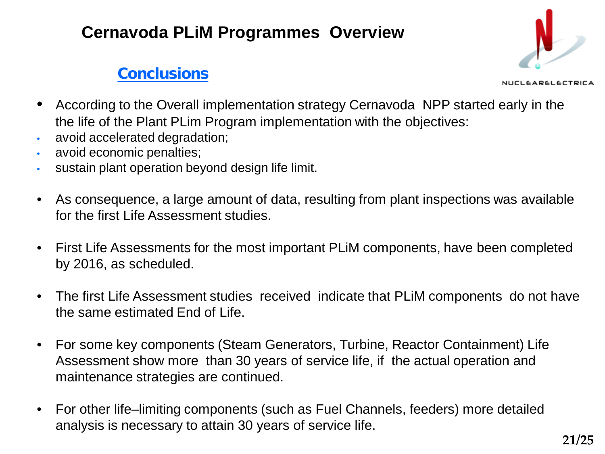## **Conclusions**



**EARELECTRICA** 

- According to the Overall implementation strategy Cernavoda NPP started early in the the life of the Plant PLim Program implementation with the objectives:
- avoid accelerated degradation;
- avoid economic penalties;
- sustain plant operation beyond design life limit.
- As consequence, a large amount of data, resulting from plant inspections was available for the first Life Assessment studies.
- First Life Assessments for the most important PLiM components, have been completed by 2016, as scheduled.
- The first Life Assessment studies received indicate that PLiM components do not have the same estimated End of Life.
- For some key components (Steam Generators, Turbine, Reactor Containment) Life Assessment show more than 30 years of service life, if the actual operation and maintenance strategies are continued.
- For other life–limiting components (such as Fuel Channels, feeders) more detailed analysis is necessary to attain 30 years of service life.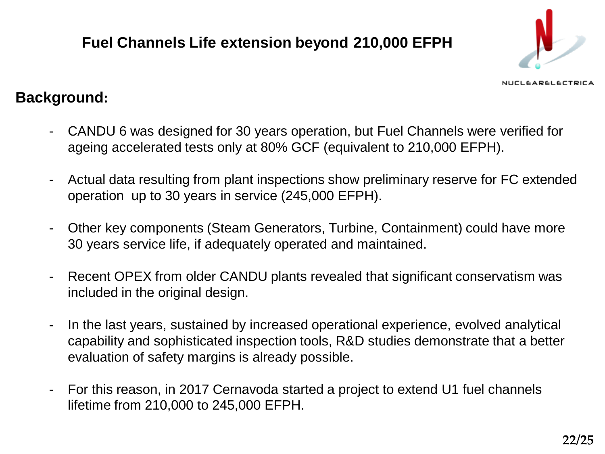## **Fuel Channels Life extension beyond 210,000 EFPH**



#### **CLEARELECTRICA**

### **Background:**

- CANDU 6 was designed for 30 years operation, but Fuel Channels were verified for ageing accelerated tests only at 80% GCF (equivalent to 210,000 EFPH).
- Actual data resulting from plant inspections show preliminary reserve for FC extended operation up to 30 years in service (245,000 EFPH).
- Other key components (Steam Generators, Turbine, Containment) could have more 30 years service life, if adequately operated and maintained.
- Recent OPEX from older CANDU plants revealed that significant conservatism was included in the original design.
- In the last years, sustained by increased operational experience, evolved analytical capability and sophisticated inspection tools, R&D studies demonstrate that a better evaluation of safety margins is already possible.
- For this reason, in 2017 Cernavoda started a project to extend U1 fuel channels lifetime from 210,000 to 245,000 EFPH.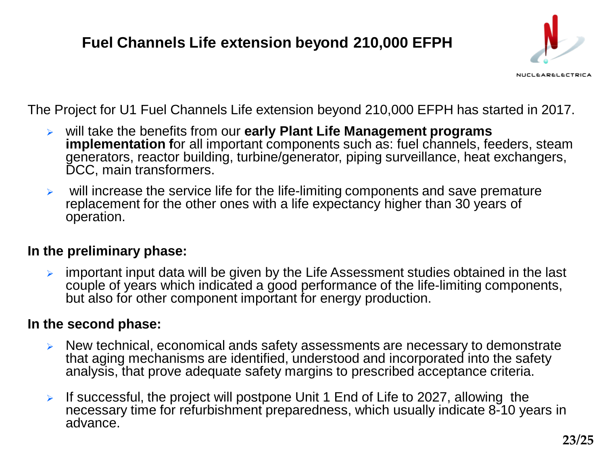## **Fuel Channels Life extension beyond 210,000 EFPH**



NUCLEARELECTRICA

The Project for U1 Fuel Channels Life extension beyond 210,000 EFPH has started in 2017.

- will take the benefits from our **early Plant Life Management programs**  implementation for all important components such as: fuel channels, feeders, steam generators, reactor building, turbine/generator, piping surveillance, heat exchangers, DCC, main transformers.
- $\triangleright$  will increase the service life for the life-limiting components and save premature replacement for the other ones with a life expectancy higher than 30 years of operation.

#### **In the preliminary phase:**

 important input data will be given by the Life Assessment studies obtained in the last couple of years which indicated a good performance of the life-limiting components, but also for other component important for energy production.

#### **In the second phase:**

- $\triangleright$  New technical, economical ands safety assessments are necessary to demonstrate that aging mechanisms are identified, understood and incorporated into the safety analysis, that prove adequate safety margins to prescribed acceptance criteria.
- If successful, the project will postpone Unit 1 End of Life to 2027, allowing the necessary time for refurbishment preparedness, which usually indicate 8-10 years in advance.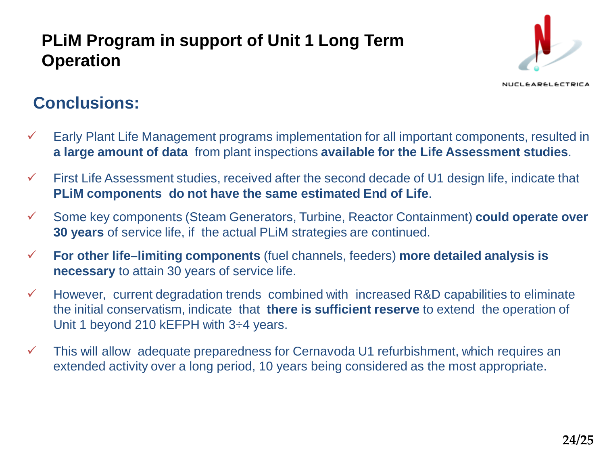## **PLiM Program in support of Unit 1 Long Term Operation**



#### NUCLEARELECTRICA

## **Conclusions:**

- $\checkmark$  Early Plant Life Management programs implementation for all important components, resulted in **a large amount of data** from plant inspections **available for the Life Assessment studies**.
- $\checkmark$  First Life Assessment studies, received after the second decade of U1 design life, indicate that **PLiM components do not have the same estimated End of Life**.
- Some key components (Steam Generators, Turbine, Reactor Containment) **could operate over 30 years** of service life, if the actual PLiM strategies are continued.
- **For other life–limiting components** (fuel channels, feeders) **more detailed analysis is necessary** to attain 30 years of service life.
- $\checkmark$  However, current degradation trends combined with increased R&D capabilities to eliminate the initial conservatism, indicate that **there is sufficient reserve** to extend the operation of Unit 1 beyond 210 kEFPH with 3÷4 years.
- $\checkmark$  This will allow adequate preparedness for Cernavoda U1 refurbishment, which requires an extended activity over a long period, 10 years being considered as the most appropriate.